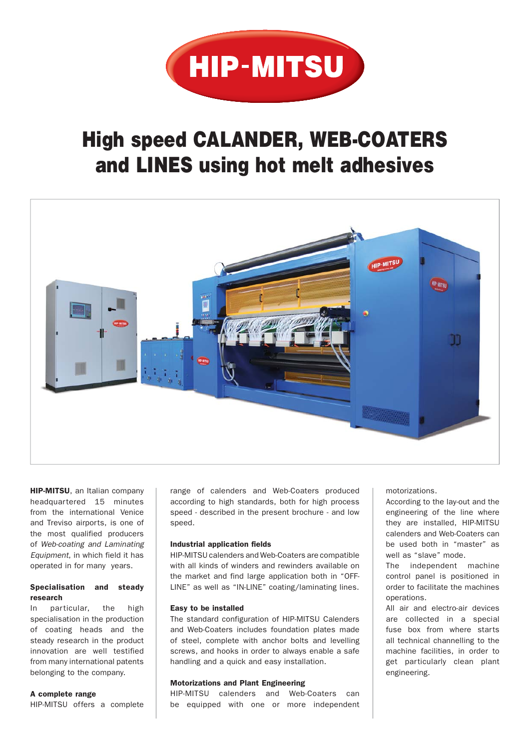

# **High speed CALANDER, WEB-COATERS and LINES using hot melt adhesives**



HIP-MITSU, an Italian company headquartered 15 minutes from the international Venice and Treviso airports, is one of the most qualified producers of *Web-coating and Laminating Equipment*, in which field it has operated in for many years.

## Specialisation and steady research

In particular, the high specialisation in the production of coating heads and the steady research in the product innovation are well testified from many international patents belonging to the company.

#### A complete range

HIP-MITSU offers a complete

range of calenders and Web-Coaters produced according to high standards, both for high process speed - described in the present brochure - and low speed.

#### Industrial application fields

HIP-MITSU calenders and Web-Coaters are compatible with all kinds of winders and rewinders available on the market and find large application both in "OFF-LINE" as well as "IN-LINE" coating/laminating lines.

#### Easy to be installed

The standard configuration of HIP-MITSU Calenders and Web-Coaters includes foundation plates made of steel, complete with anchor bolts and levelling screws, and hooks in order to always enable a safe handling and a quick and easy installation.

#### Motorizations and Plant Engineering

HIP-MITSU calenders and Web-Coaters can be equipped with one or more independent motorizations.

According to the lay-out and the engineering of the line where they are installed, HIP-MITSU calenders and Web-Coaters can be used both in "master" as well as "slave" mode.

The independent machine control panel is positioned in order to facilitate the machines operations.

All air and electro-air devices are collected in a special fuse box from where starts all technical channelling to the machine facilities, in order to get particularly clean plant engineering.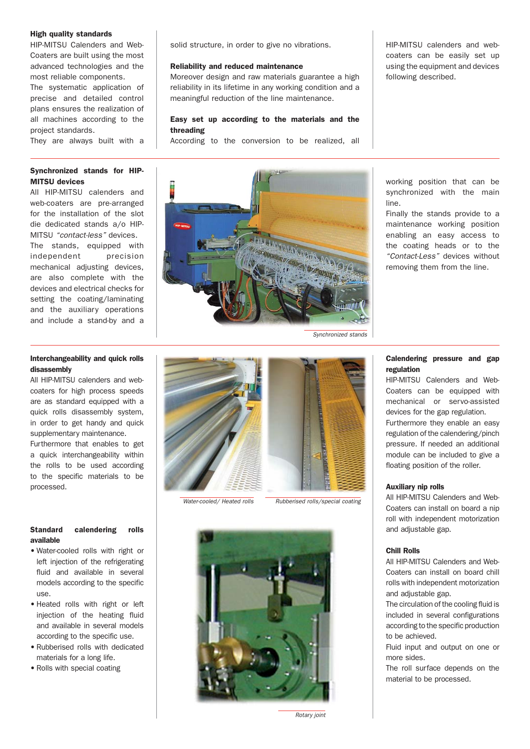#### High quality standards

HIP-MITSU Calenders and Web-Coaters are built using the most advanced technologies and the most reliable components.

The systematic application of precise and detailed control plans ensures the realization of all machines according to the project standards.

They are always built with a

# Synchronized stands for HIP-MITSU devices

All HIP-MITSU calenders and web-coaters are pre-arranged for the installation of the slot die dedicated stands a/o HIP-MITSU *"contact-less"* devices. The stands, equipped with independent precision mechanical adjusting devices, are also complete with the devices and electrical checks for setting the coating/laminating and the auxiliary operations and include a stand-by and a solid structure, in order to give no vibrations.

#### Reliability and reduced maintenance

Moreover design and raw materials guarantee a high reliability in its lifetime in any working condition and a meaningful reduction of the line maintenance.

## Easy set up according to the materials and the threading

According to the conversion to be realized, all

*Synchronized stands*

HIP-MITSU calenders and webcoaters can be easily set up using the equipment and devices following described.

working position that can be synchronized with the main line.

Finally the stands provide to a maintenance working position enabling an easy access to the coating heads or to the *"Contact-Less"* devices without removing them from the line.

# Interchangeability and quick rolls disassembly

All HIP-MITSU calenders and webcoaters for high process speeds are as standard equipped with a quick rolls disassembly system, in order to get handy and quick supplementary maintenance.

Furthermore that enables to get a quick interchangeability within the rolls to be used according to the specific materials to be processed.

# Standard calendering rolls available

- Water-cooled rolls with right or left injection of the refrigerating fluid and available in several models according to the specific use.
- Heated rolls with right or left injection of the heating fluid and available in several models according to the specific use.
- Rubberised rolls with dedicated materials for a long life.
- Rolls with special coating



*Water-cooled/ Heated rolls Rubberised rolls/special coating*



regulation

HIP-MITSU Calenders and Web-Coaters can be equipped with mechanical or servo-assisted devices for the gap regulation. Furthermore they enable an easy regulation of the calendering/pinch pressure. If needed an additional module can be included to give a

floating position of the roller.

#### Auxiliary nip rolls

All HIP-MITSU Calenders and Web-Coaters can install on board a nip roll with independent motorization and adjustable gap.

#### Chill Rolls

All HIP-MITSU Calenders and Web-Coaters can install on board chill rolls with independent motorization and adjustable gap.

The circulation of the cooling fluid is included in several configurations according to the specific production to be achieved.

Fluid input and output on one or more sides.

The roll surface depends on the material to be processed.

# Calendering pressure and gap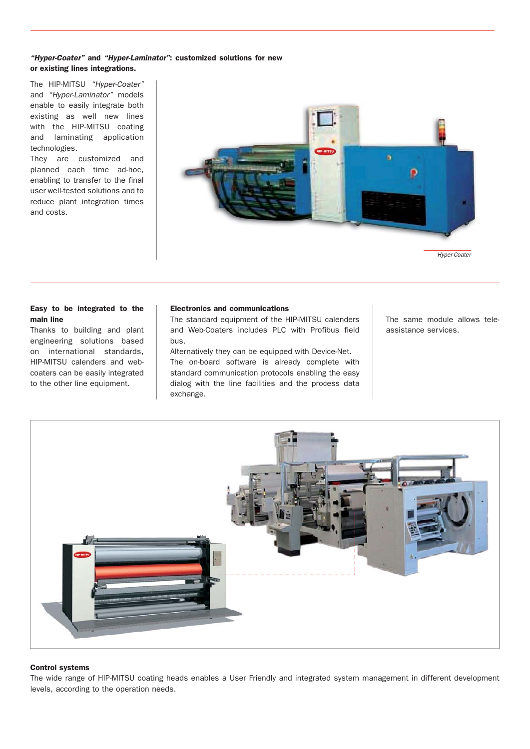# *"Hyper-Coater"* and *"Hyper-Laminator"*: customized solutions for new or existing lines integrations.

The HIP-MITSU *"Hyper-Coater"* and *"Hyper-Laminator"* models enable to easily integrate both existing as well new lines with the HIP-MITSU coating and laminating application technologies.

They are customized and planned each time ad-hoc, enabling to transfer to the final user well-tested solutions and to reduce plant integration times and costs.



#### Easy to be integrated to the main line

Thanks to building and plant engineering solutions based on international standards, HIP-MITSU calenders and webcoaters can be easily integrated to the other line equipment.

#### Electronics and communications

The standard equipment of the HIP-MITSU calenders and Web-Coaters includes PLC with Profibus field bus.

Alternatively they can be equipped with Device-Net. The on-board software is already complete with standard communication protocols enabling the easy dialog with the line facilities and the process data exchange.

The same module allows teleassistance services.



#### Control systems

The wide range of HIP-MITSU coating heads enables a User Friendly and integrated system management in different development levels, according to the operation needs.